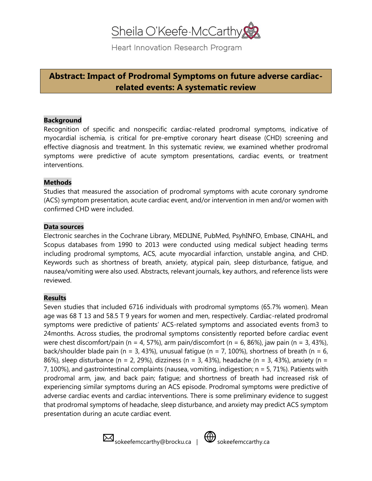# Sheila O'Keefe-McCarthy

Heart Innovation Research Program

## **Abstract: Impact of Prodromal Symptoms on future adverse cardiacrelated events: A systematic review**

#### **Background**

Recognition of specific and nonspecific cardiac-related prodromal symptoms, indicative of myocardial ischemia, is critical for pre-emptive coronary heart disease (CHD) screening and effective diagnosis and treatment. In this systematic review, we examined whether prodromal symptoms were predictive of acute symptom presentations, cardiac events, or treatment interventions.

#### **Methods**

Studies that measured the association of prodromal symptoms with acute coronary syndrome (ACS) symptom presentation, acute cardiac event, and/or intervention in men and/or women with confirmed CHD were included.

#### **Data sources**

Electronic searches in the Cochrane Library, MEDLINE, PubMed, PsyhINFO, Embase, CINAHL, and Scopus databases from 1990 to 2013 were conducted using medical subject heading terms including prodromal symptoms, ACS, acute myocardial infarction, unstable angina, and CHD. Keywords such as shortness of breath, anxiety, atypical pain, sleep disturbance, fatigue, and nausea/vomiting were also used. Abstracts, relevant journals, key authors, and reference lists were reviewed.

#### **Results**

Seven studies that included 6716 individuals with prodromal symptoms (65.7% women). Mean age was 68 T 13 and 58.5 T 9 years for women and men, respectively. Cardiac-related prodromal symptoms were predictive of patients' ACS-related symptoms and associated events from3 to 24months. Across studies, the prodromal symptoms consistently reported before cardiac event were chest discomfort/pain (n = 4, 57%), arm pain/discomfort (n = 6, 86%), jaw pain (n = 3, 43%), back/shoulder blade pain (n = 3, 43%), unusual fatique (n = 7, 100%), shortness of breath (n = 6, 86%), sleep disturbance (n = 2, 29%), dizziness (n = 3, 43%), headache (n = 3, 43%), anxiety (n = 7, 100%), and gastrointestinal complaints (nausea, vomiting, indigestion; n = 5, 71%). Patients with prodromal arm, jaw, and back pain; fatigue; and shortness of breath had increased risk of experiencing similar symptoms during an ACS episode. Prodromal symptoms were predictive of adverse cardiac events and cardiac interventions. There is some preliminary evidence to suggest that prodromal symptoms of headache, sleep disturbance, and anxiety may predict ACS symptom presentation during an acute cardiac event.